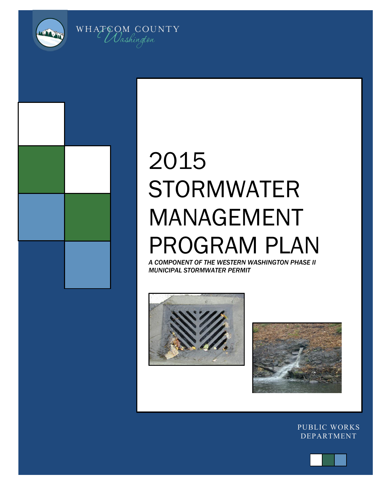

WHAPCOM COUNTY



*A COMPONENT OF THE WESTERN WASHINGTON PHASE II MUNICIPAL STORMWATER PERMIT*





PUBLIC WORKS DEPARTMENT

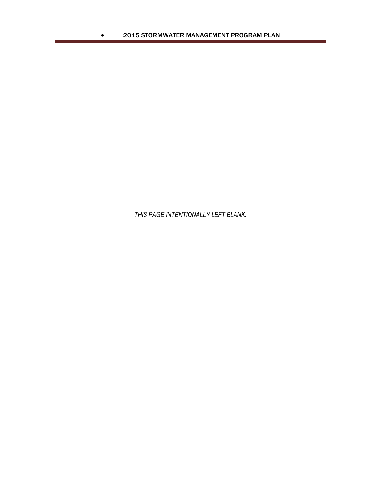*THIS PAGE INTENTIONALLY LEFT BLANK.*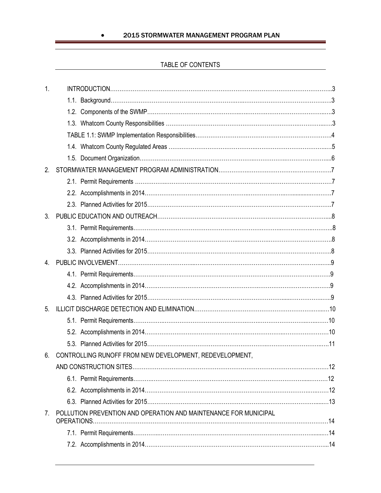# 2015 STORMWATER MANAGEMENT PROGRAM PLAN

# TABLE OF CONTENTS

| 1.             |                                                                  |  |
|----------------|------------------------------------------------------------------|--|
|                |                                                                  |  |
|                |                                                                  |  |
|                |                                                                  |  |
|                |                                                                  |  |
|                |                                                                  |  |
|                |                                                                  |  |
| 2.             |                                                                  |  |
|                |                                                                  |  |
|                |                                                                  |  |
|                |                                                                  |  |
| 3 <sub>1</sub> |                                                                  |  |
|                |                                                                  |  |
|                |                                                                  |  |
|                |                                                                  |  |
| $\overline{4}$ |                                                                  |  |
|                |                                                                  |  |
|                |                                                                  |  |
|                |                                                                  |  |
| 5.             |                                                                  |  |
|                |                                                                  |  |
|                |                                                                  |  |
|                |                                                                  |  |
| 6.             | CONTROLLING RUNOFF FROM NEW DEVELOPMENT, REDEVELOPMENT,          |  |
|                |                                                                  |  |
|                |                                                                  |  |
|                |                                                                  |  |
|                |                                                                  |  |
| 7.             | POLLUTION PREVENTION AND OPERATION AND MAINTENANCE FOR MUNICIPAL |  |
|                |                                                                  |  |
|                |                                                                  |  |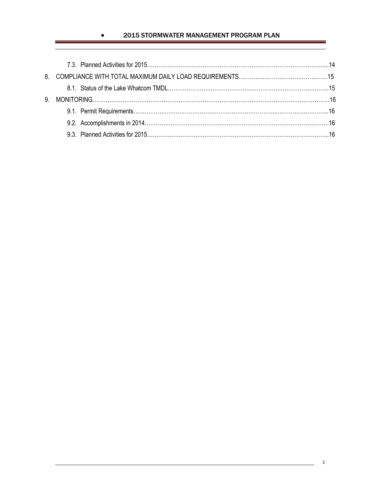# 2015 STORMWATER MANAGEMENT PROGRAM PLAN

| 8 |  |
|---|--|
|   |  |
|   |  |
|   |  |
|   |  |
|   |  |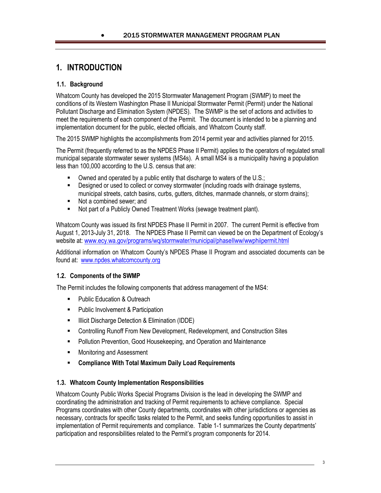# **1. INTRODUCTION**

# **1.1. Background**

Whatcom County has developed the 2015 Stormwater Management Program (SWMP) to meet the conditions of its Western Washington Phase II Municipal Stormwater Permit (Permit) under the National Pollutant Discharge and Elimination System (NPDES). The SWMP is the set of actions and activities to meet the requirements of each component of the Permit. The document is intended to be a planning and implementation document for the public, elected officials, and Whatcom County staff.

The 2015 SWMP highlights the accomplishments from 2014 permit year and activities planned for 2015.

The Permit (frequently referred to as the NPDES Phase II Permit) applies to the operators of regulated small municipal separate stormwater sewer systems (MS4s). A small MS4 is a municipality having a population less than 100,000 according to the U.S. census that are:

- Owned and operated by a public entity that discharge to waters of the U.S.;
- **EXECT** Designed or used to collect or convey stormwater (including roads with drainage systems, municipal streets, catch basins, curbs, gutters, ditches, manmade channels, or storm drains);
- Not a combined sewer; and
- Not part of a Publicly Owned Treatment Works (sewage treatment plant).

Whatcom County was issued its first NPDES Phase II Permit in 2007. The current Permit is effective from August 1, 2013-July 31, 2018. The NPDES Phase II Permit can viewed be on the Department of Ecology's website at[: www.ecy.wa.gov/programs/wq/stormwater/municipal/phaseIIww/wwphiipermit.html](http://www.ecy.wa.gov/programs/wq/stormwater/municipal/phaseIIww/wwphiipermit.html)

Additional information on Whatcom County's NPDES Phase II Program and associated documents can be found at: [www.npdes.whatcomcounty.org](http://www.npdes.whatcomcounty.org/)

# **1.2. Components of the SWMP**

The Permit includes the following components that address management of the MS4:

- **Public Education & Outreach**
- **Public Involvement & Participation**
- **Illicit Discharge Detection & Elimination (IDDE)**
- Controlling Runoff From New Development, Redevelopment, and Construction Sites
- Pollution Prevention, Good Housekeeping, and Operation and Maintenance
- **Monitoring and Assessment**
- **Compliance With Total Maximum Daily Load Requirements**

# **1.3. Whatcom County Implementation Responsibilities**

Whatcom County Public Works Special Programs Division is the lead in developing the SWMP and coordinating the administration and tracking of Permit requirements to achieve compliance. Special Programs coordinates with other County departments, coordinates with other jurisdictions or agencies as necessary, contracts for specific tasks related to the Permit, and seeks funding opportunities to assist in implementation of Permit requirements and compliance. Table 1-1 summarizes the County departments' participation and responsibilities related to the Permit's program components for 2014.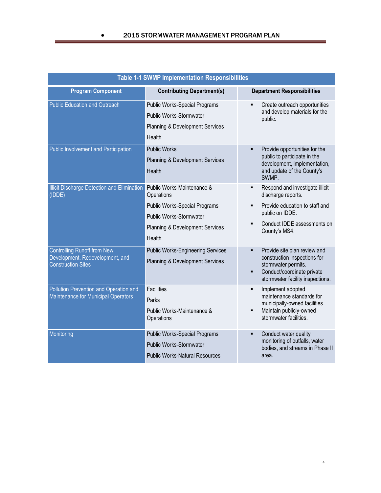| Table 1-1 SWMP Implementation Responsibilities                                                     |                                                                                                              |                                                                                                                                                                  |  |  |  |
|----------------------------------------------------------------------------------------------------|--------------------------------------------------------------------------------------------------------------|------------------------------------------------------------------------------------------------------------------------------------------------------------------|--|--|--|
| <b>Program Component</b>                                                                           | <b>Contributing Department(s)</b>                                                                            | <b>Department Responsibilities</b>                                                                                                                               |  |  |  |
| <b>Public Education and Outreach</b>                                                               | <b>Public Works-Special Programs</b><br>Public Works-Stormwater<br>Planning & Development Services<br>Health | Create outreach opportunities<br>and develop materials for the<br>public.                                                                                        |  |  |  |
| <b>Public Involvement and Participation</b>                                                        | <b>Public Works</b><br><b>Planning &amp; Development Services</b><br>Health                                  | Provide opportunities for the<br>public to participate in the<br>development, implementation,<br>and update of the County's<br>SWMP.                             |  |  |  |
| Illicit Discharge Detection and Elimination<br>(IDDE)                                              | Public Works-Maintenance &<br>Operations                                                                     | Respond and investigate illicit<br>п<br>discharge reports.                                                                                                       |  |  |  |
|                                                                                                    | <b>Public Works-Special Programs</b><br>Public Works-Stormwater<br>Planning & Development Services<br>Health | Provide education to staff and<br>▪<br>public on IDDE.<br>Conduct IDDE assessments on<br>$\blacksquare$<br>County's MS4.                                         |  |  |  |
| <b>Controlling Runoff from New</b><br>Development, Redevelopment, and<br><b>Construction Sites</b> | <b>Public Works-Engineering Services</b><br>Planning & Development Services                                  | Provide site plan review and<br>×,<br>construction inspections for<br>stormwater permits.<br>Conduct/coordinate private<br>Ξ<br>stormwater facility inspections. |  |  |  |
| Pollution Prevention and Operation and<br>Maintenance for Municipal Operators                      | <b>Facilities</b><br>Parks<br>Public Works-Maintenance &<br>Operations                                       | Implement adopted<br>maintenance standards for<br>municipally-owned facilities.<br>Maintain publicly-owned<br>stormwater facilities.                             |  |  |  |
| Monitoring                                                                                         | <b>Public Works-Special Programs</b><br>Public Works-Stormwater<br><b>Public Works-Natural Resources</b>     | Conduct water quality<br>Ξ<br>monitoring of outfalls, water<br>bodies, and streams in Phase II<br>area.                                                          |  |  |  |

#### **Table 1-1 SWMP Implementation Responsibilities**

 $\overline{\phantom{a}}$  4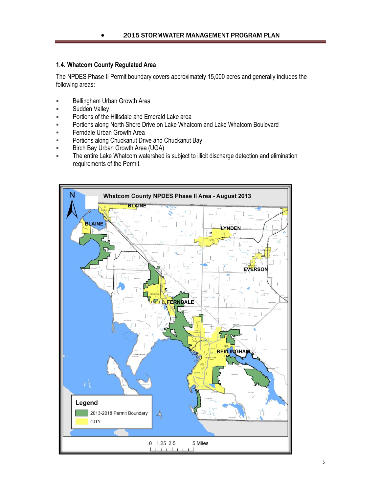### **1.4. Whatcom County Regulated Area**

The NPDES Phase II Permit boundary covers approximately 15,000 acres and generally includes the following areas:

- **Bellingham Urban Growth Area**
- **Sudden Valley**
- Portions of the Hillsdale and Emerald Lake area
- **Portions along North Shore Drive on Lake Whatcom and Lake Whatcom Boulevard**
- **Ferndale Urban Growth Area**
- **Portions along Chuckanut Drive and Chuckanut Bay**
- **Birch Bay Urban Growth Area (UGA)**
- The entire Lake Whatcom watershed is subject to illicit discharge detection and elimination requirements of the Permit.

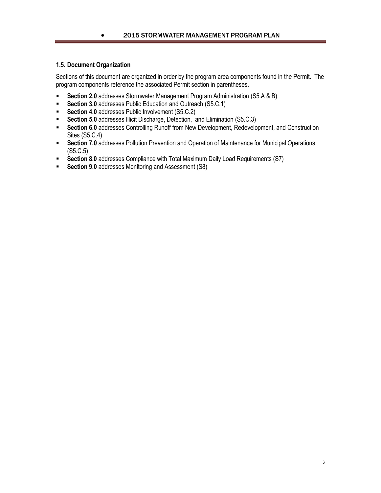## **1.5. Document Organization**

Sections of this document are organized in order by the program area components found in the Permit. The program components reference the associated Permit section in parentheses.

- **Section 2.0** addresses Stormwater Management Program Administration (S5.A & B)
- **Section 3.0** addresses Public Education and Outreach (S5.C.1)
- **Section 4.0** addresses Public Involvement (S5.C.2)
- **Section 5.0** addresses Illicit Discharge, Detection, and Elimination (S5.C.3)
- **Section 6.0** addresses Controlling Runoff from New Development, Redevelopment, and Construction Sites (S5.C.4)
- **Section 7.0** addresses Pollution Prevention and Operation of Maintenance for Municipal Operations (S5.C.5)
- **Section 8.0** addresses Compliance with Total Maximum Daily Load Requirements (S7)
- **Section 9.0** addresses Monitoring and Assessment (S8)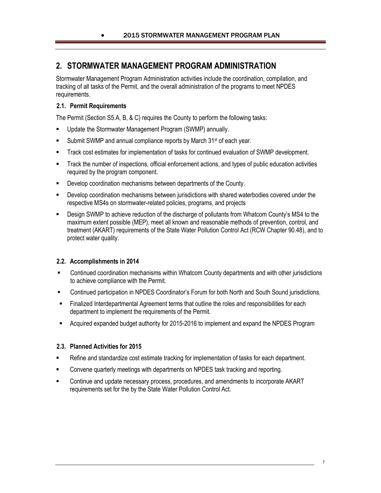# **2. STORMWATER MANAGEMENT PROGRAM ADMINISTRATION**

Stormwater Management Program Administration activities include the coordination, compilation, and tracking of all tasks of the Permit, and the overall administration of the programs to meet NPDES requirements.

# **2.1. Permit Requirements**

The Permit (Section S5.A, B, & C) requires the County to perform the following tasks:

- **Update the Stormwater Management Program (SWMP) annually.**
- **Submit SWMP and annual compliance reports by March 31st of each year.**
- Track cost estimates for implementation of tasks for continued evaluation of SWMP development.
- Track the number of inspections, official enforcement actions, and types of public education activities required by the program component.
- **Develop coordination mechanisms between departments of the County.**
- Develop coordination mechanisms between jurisdictions with shared waterbodies covered under the respective MS4s on stormwater-related policies, programs, and projects
- Design SWMP to achieve reduction of the discharge of pollutants from Whatcom County's MS4 to the maximum extent possible (MEP), meet all known and reasonable methods of prevention, control, and treatment (AKART) requirements of the State Water Pollution Control Act (RCW Chapter 90.48), and to protect water quality.

#### **2.2. Accomplishments in 2014**

- Continued coordination mechanisms within Whatcom County departments and with other jurisdictions to achieve compliance with the Permit.
- Continued participation in NPDES Coordinator's Forum for both North and South Sound jurisdictions.
- Finalized Interdepartmental Agreement terms that outline the roles and responsibilities for each department to implement the requirements of the Permit.
- Acquired expanded budget authority for 2015-2016 to implement and expand the NPDES Program

- Refine and standardize cost estimate tracking for implementation of tasks for each department.
- **EXECONVERGY CONVERGY CONVERTS** CONVERTING THE CONVERTING CONVERTING.
- Continue and update necessary process, procedures, and amendments to incorporate AKART requirements set for the by the State Water Pollution Control Act.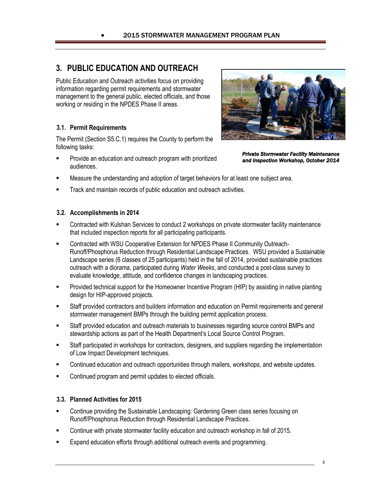# **3. PUBLIC EDUCATION AND OUTREACH**

Public Education and Outreach activities focus on providing information regarding permit requirements and stormwater management to the general public, elected officials, and those working or residing in the NPDES Phase II areas.

# **3.1. Permit Requirements**

The Permit (Section S5.C.1) requires the County to perform the following tasks:

- **Provide an education and outreach program with prioritized** audiences.
- Measure the understanding and adoption of target behaviors for at least one subject area.
- Track and maintain records of public education and outreach activities.

### **3.2. Accomplishments in 2014**

- Contracted with Kulshan Services to conduct 2 workshops on private stormwater facility maintenance that included inspection reports for all participating participants.
- Contracted with WSU Cooperative Extension for NPDES Phase II Community Outreach-Runoff/Phosphorus Reduction through Residential Landscape Practices. WSU provided a Sustainable Landscape series (6 classes of 25 participants) held in the fall of 2014, provided sustainable practices outreach with a diorama, participated during *Water Weeks*, and conducted a post-class survey to evaluate knowledge, attitude, and confidence changes in landscaping practices.
- Provided technical support for the Homeowner Incentive Program (HIP) by assisting in native planting design for HIP-approved projects.
- Staff provided contractors and builders information and education on Permit requirements and general stormwater management BMPs through the building permit application process.
- Staff provided education and outreach materials to businesses regarding source control BMPs and stewardship actions as part of the Health Department's Local Source Control Program.
- Staff participated in workshops for contractors, designers, and suppliers regarding the implementation of Low Impact Development techniques.
- Continued education and outreach opportunities through mailers, workshops, and website updates.
- **EXECONTERGY CONTINUED PROGREE** Continued program and permit updates to elected officials.

- Continue providing the Sustainable Landscaping: Gardening Green class series focusing on Runoff/Phosphorus Reduction through Residential Landscape Practices.
- Continue with private stormwater facility education and outreach workshop in fall of 2015.
- Expand education efforts through additional outreach events and programming.

*Private Stormwater Facility Maintenance and Inspection Workshop, October 2014* 

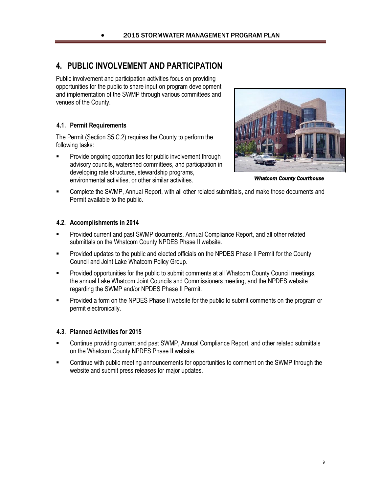# **4. PUBLIC INVOLVEMENT AND PARTICIPATION**

Public involvement and participation activities focus on providing opportunities for the public to share input on program development and implementation of the SWMP through various committees and venues of the County.

# **4.1. Permit Requirements**

The Permit (Section S5.C.2) requires the County to perform the following tasks:

 Provide ongoing opportunities for public involvement through advisory councils, watershed committees, and participation in developing rate structures, stewardship programs, environmental activities, or other similar activities.



*Whatcom County Courthouse* 

 Complete the SWMP, Annual Report, with all other related submittals, and make those documents and Permit available to the public.

#### **4.2. Accomplishments in 2014**

- Provided current and past SWMP documents, Annual Compliance Report, and all other related submittals on the Whatcom County NPDES Phase II website.
- **Provided updates to the public and elected officials on the NPDES Phase II Permit for the County** Council and Joint Lake Whatcom Policy Group.
- Provided opportunities for the public to submit comments at all Whatcom County Council meetings, the annual Lake Whatcom Joint Councils and Commissioners meeting, and the NPDES website regarding the SWMP and/or NPDES Phase II Permit.
- **Provided a form on the NPDES Phase II website for the public to submit comments on the program or** permit electronically.

- Continue providing current and past SWMP, Annual Compliance Report, and other related submittals on the Whatcom County NPDES Phase II website.
- **•** Continue with public meeting announcements for opportunities to comment on the SWMP through the website and submit press releases for major updates.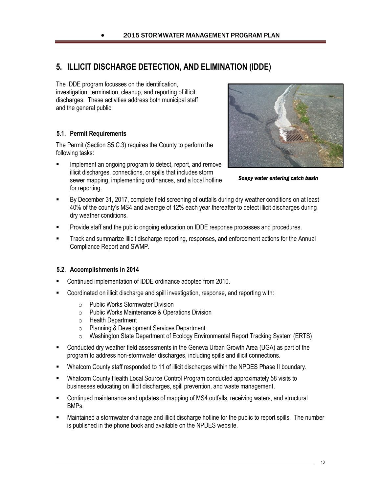# **5. ILLICIT DISCHARGE DETECTION, AND ELIMINATION (IDDE)**

The IDDE program focusses on the identification, investigation, termination, cleanup, and reporting of illicit discharges. These activities address both municipal staff and the general public.

# **5.1. Permit Requirements**

The Permit (Section S5.C.3) requires the County to perform the following tasks:

 Implement an ongoing program to detect, report, and remove illicit discharges, connections, or spills that includes storm sewer mapping, implementing ordinances, and a local hotline for reporting.



*Soapy water entering catch basin* 

- By December 31, 2017, complete field screening of outfalls during dry weather conditions on at least 40% of the county's MS4 and average of 12% each year thereafter to detect illicit discharges during dry weather conditions.
- Provide staff and the public ongoing education on IDDE response processes and procedures.
- Track and summarize illicit discharge reporting, responses, and enforcement actions for the Annual Compliance Report and SWMP.

#### **5.2. Accomplishments in 2014**

- Continued implementation of IDDE ordinance adopted from 2010.
- Coordinated on illicit discharge and spill investigation, response, and reporting with:
	- o Public Works Stormwater Division
	- o Public Works Maintenance & Operations Division
	- o Health Department
	- o Planning & Development Services Department
	- $\circ$  Washington State Department of Ecology Environmental Report Tracking System (ERTS)
- Conducted dry weather field assessments in the Geneva Urban Growth Area (UGA) as part of the program to address non-stormwater discharges, including spills and illicit connections.
- Whatcom County staff responded to 11 of illicit discharges within the NPDES Phase II boundary.
- Whatcom County Health Local Source Control Program conducted approximately 58 visits to businesses educating on illicit discharges, spill prevention, and waste management.
- Continued maintenance and updates of mapping of MS4 outfalls, receiving waters, and structural **BMPs**
- Maintained a stormwater drainage and illicit discharge hotline for the public to report spills. The number is published in the phone book and available on the NPDES website.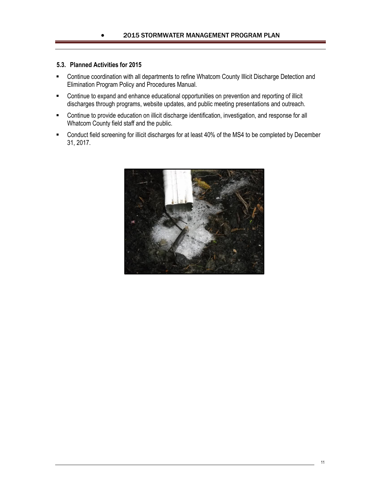- **EXECONTER CONTER 1** Continue coordination with all departments to refine Whatcom County Illicit Discharge Detection and Elimination Program Policy and Procedures Manual.
- **EXECONTER 10 Continue to expand and enhance educational opportunities on prevention and reporting of illicit** discharges through programs, website updates, and public meeting presentations and outreach.
- Continue to provide education on illicit discharge identification, investigation, and response for all Whatcom County field staff and the public.
- **EXECONDUCT FIELD SCREENING FOR IDEO** of the MS4 to be completed by December 31, 2017.

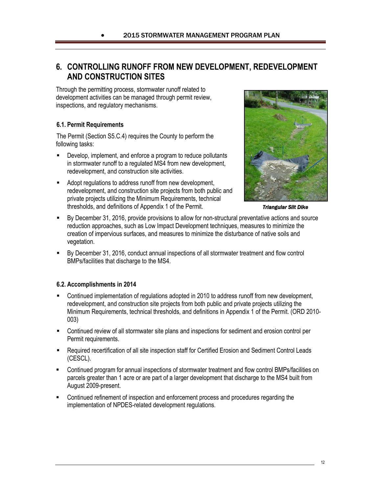# **6. CONTROLLING RUNOFF FROM NEW DEVELOPMENT, REDEVELOPMENT AND CONSTRUCTION SITES**

Through the permitting process, stormwater runoff related to development activities can be managed through permit review, inspections, and regulatory mechanisms.

# **6.1. Permit Requirements**

The Permit (Section S5.C.4) requires the County to perform the following tasks:

- **Develop, implement, and enforce a program to reduce pollutants** in stormwater runoff to a regulated MS4 from new development, redevelopment, and construction site activities.
- **Adopt regulations to address runoff from new development,** redevelopment, and construction site projects from both public and private projects utilizing the Minimum Requirements, technical thresholds, and definitions of Appendix 1 of the Permit.



*Triangular Silt Dike* 

- By December 31, 2016, provide provisions to allow for non-structural preventative actions and source reduction approaches, such as Low Impact Development techniques, measures to minimize the creation of impervious surfaces, and measures to minimize the disturbance of native soils and vegetation.
- By December 31, 2016, conduct annual inspections of all stormwater treatment and flow control BMPs/facilities that discharge to the MS4.

# **6.2. Accomplishments in 2014**

- Continued implementation of regulations adopted in 2010 to address runoff from new development, redevelopment, and construction site projects from both public and private projects utilizing the Minimum Requirements, technical thresholds, and definitions in Appendix 1 of the Permit. (ORD 2010- 003)
- Continued review of all stormwater site plans and inspections for sediment and erosion control per Permit requirements.
- Required recertification of all site inspection staff for Certified Erosion and Sediment Control Leads (CESCL).
- Continued program for annual inspections of stormwater treatment and flow control BMPs/facilities on parcels greater than 1 acre or are part of a larger development that discharge to the MS4 built from August 2009-present.
- Continued refinement of inspection and enforcement process and procedures regarding the implementation of NPDES-related development regulations.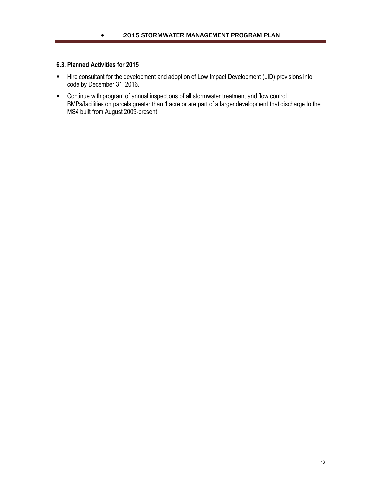- Hire consultant for the development and adoption of Low Impact Development (LID) provisions into code by December 31, 2016.
- Continue with program of annual inspections of all stormwater treatment and flow control BMPs/facilities on parcels greater than 1 acre or are part of a larger development that discharge to the MS4 built from August 2009-present.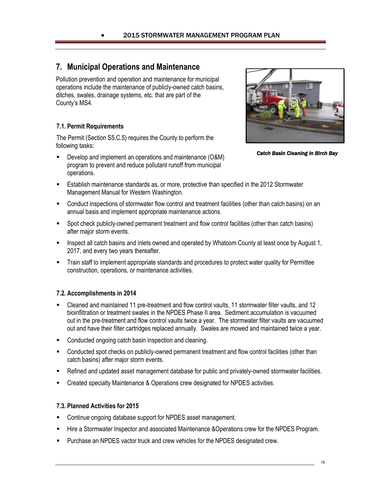# **7. Municipal Operations and Maintenance**

Pollution prevention and operation and maintenance for municipal operations include the maintenance of publicly-owned catch basins, ditches, swales, drainage systems, etc. that are part of the County's MS4.

# **7.1. Permit Requirements**

The Permit (Section S5.C.5) requires the County to perform the following tasks:

 Develop and implement an operations and maintenance (O&M) program to prevent and reduce pollutant runoff from municipal operations.



*Catch Basin Cleaning in Birch Bay* 

- **Establish maintenance standards as, or more, protective than specified in the 2012 Stormwater** Management Manual for Western Washington.
- Conduct inspections of stormwater flow control and treatment facilities (other than catch basins) on an annual basis and implement appropriate maintenance actions.
- Spot check publicly-owned permanent treatment and flow control facilities (other than catch basins) after major storm events.
- Inspect all catch basins and inlets owned and operated by Whatcom County at least once by August 1, 2017, and every two years thereafter.
- Train staff to implement appropriate standards and procedures to protect water quality for Permittee construction, operations, or maintenance activities.

#### **7.2. Accomplishments in 2014**

- Cleaned and maintained 11 pre-treatment and flow control vaults, 11 stormwater filter vaults, and 12 bioinfiltration or treatment swales in the NPDES Phase II area. Sediment accumulation is vacuumed out in the pre-treatment and flow control vaults twice a year. The stormwater filter vaults are vacuumed out and have their filter cartridges replaced annually. Swales are mowed and maintained twice a year.
- Conducted ongoing catch basin inspection and cleaning.
- Conducted spot checks on publicly-owned permanent treatment and flow control facilities (other than catch basins) after major storm events.
- **EXEM** Refined and updated asset management database for public and privately-owned stormwater facilities.
- Created specialty Maintenance & Operations crew designated for NPDES activities.

- **EXECONTERGO CONTERCT CONTERCT** Continue ongoing database support for NPDES asset management.
- Hire a Stormwater Inspector and associated Maintenance &Operations crew for the NPDES Program.
- Purchase an NPDES vactor truck and crew vehicles for the NPDES designated crew.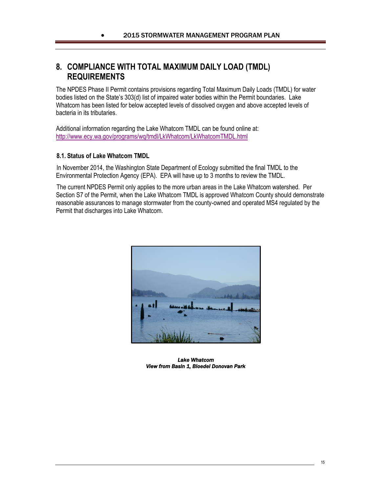# **8. COMPLIANCE WITH TOTAL MAXIMUM DAILY LOAD (TMDL) REQUIREMENTS**

The NPDES Phase II Permit contains provisions regarding Total Maximum Daily Loads (TMDL) for water bodies listed on the State's 303(d) list of impaired water bodies within the Permit boundaries. Lake Whatcom has been listed for below accepted levels of dissolved oxygen and above accepted levels of bacteria in its tributaries.

Additional information regarding the Lake Whatcom TMDL can be found online at: <http://www.ecy.wa.gov/programs/wq/tmdl/LkWhatcom/LkWhatcomTMDL.html>

### **8.1. Status of Lake Whatcom TMDL**

In November 2014, the Washington State Department of Ecology submitted the final TMDL to the Environmental Protection Agency (EPA). EPA will have up to 3 months to review the TMDL.

The current NPDES Permit only applies to the more urban areas in the Lake Whatcom watershed. Per Section S7 of the Permit, when the Lake Whatcom TMDL is approved Whatcom County should demonstrate reasonable assurances to manage stormwater from the county-owned and operated MS4 regulated by the Permit that discharges into Lake Whatcom.



*Lake Whatcom View from Basin 1, Bloedel Donovan Park*